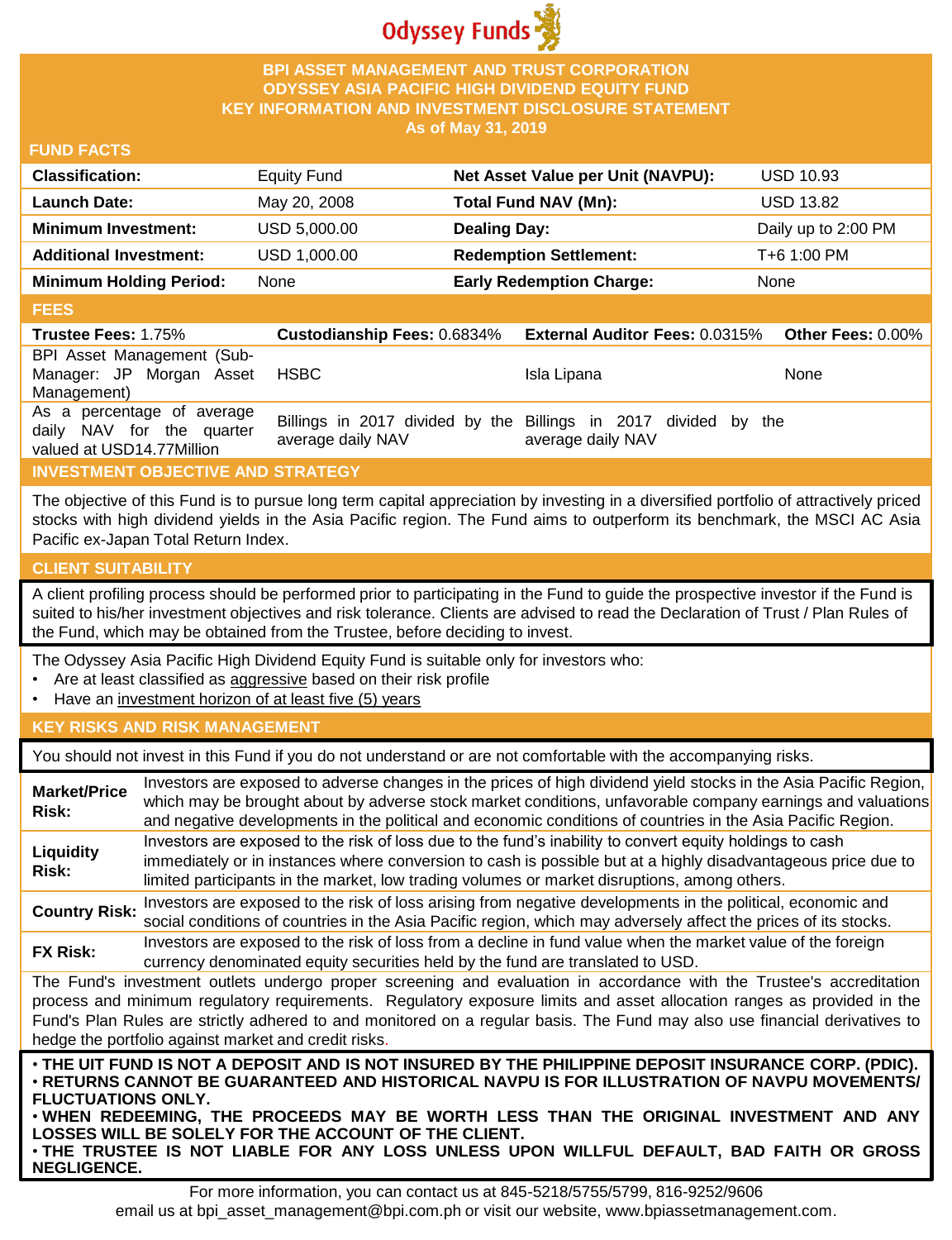

## **BPI ASSET MANAGEMENT AND TRUST CORPORATION ODYSSEY ASIA PACIFIC HIGH DIVIDEND EQUITY FUND KEY INFORMATION AND INVESTMENT DISCLOSURE STATEMENT As of May 31, 2019**

### **FUND FACTS**

| <b>Classification:</b>         | <b>Equity Fund</b> | Net Asset Value per Unit (NAVPU): | <b>USD 10.93</b>    |
|--------------------------------|--------------------|-----------------------------------|---------------------|
| <b>Launch Date:</b>            | May 20, 2008       | Total Fund NAV (Mn):              | <b>USD 13.82</b>    |
| <b>Minimum Investment:</b>     | USD 5,000.00       | <b>Dealing Day:</b>               | Daily up to 2:00 PM |
| <b>Additional Investment:</b>  | USD 1,000.00       | <b>Redemption Settlement:</b>     | T+6 1:00 PM         |
| <b>Minimum Holding Period:</b> | None               | <b>Early Redemption Charge:</b>   | None                |

#### **FEES**

| <b>Trustee Fees: 1.75%</b>                                                           |                   | Custodianship Fees: 0.6834% External Auditor Fees: 0.0315%                           | <b>Other Fees: 0.00%</b> |
|--------------------------------------------------------------------------------------|-------------------|--------------------------------------------------------------------------------------|--------------------------|
| BPI Asset Management (Sub-<br>Manager: JP Morgan Asset<br>Management)                | <b>HSBC</b>       | Isla Lipana                                                                          | None                     |
| As a percentage of average<br>daily NAV for the quarter<br>valued at USD14.77Million | average daily NAV | Billings in 2017 divided by the Billings in 2017 divided by the<br>average daily NAV |                          |

## **INVESTMENT OBJECTIVE AND STRATEGY**

The objective of this Fund is to pursue long term capital appreciation by investing in a diversified portfolio of attractively priced stocks with high dividend yields in the Asia Pacific region. The Fund aims to outperform its benchmark, the MSCI AC Asia Pacific ex-Japan Total Return Index.

## **CLIENT SUITABILITY**

**NEGLIGENCE.**

A client profiling process should be performed prior to participating in the Fund to guide the prospective investor if the Fund is suited to his/her investment objectives and risk tolerance. Clients are advised to read the Declaration of Trust / Plan Rules of the Fund, which may be obtained from the Trustee, before deciding to invest.

The Odyssey Asia Pacific High Dividend Equity Fund is suitable only for investors who:

- Are at least classified as aggressive based on their risk profile
- Have an investment horizon of at least five (5) years

## **KEY RISKS AND RISK MANAGEMENT**

You should not invest in this Fund if you do not understand or are not comfortable with the accompanying risks.

| <b>Market/Price</b><br>Risk:                                                                                                                                                                                                                                                                                                                                                                                                         | Investors are exposed to adverse changes in the prices of high dividend yield stocks in the Asia Pacific Region,<br>which may be brought about by adverse stock market conditions, unfavorable company earnings and valuations<br>and negative developments in the political and economic conditions of countries in the Asia Pacific Region.                                                                                                   |  |  |
|--------------------------------------------------------------------------------------------------------------------------------------------------------------------------------------------------------------------------------------------------------------------------------------------------------------------------------------------------------------------------------------------------------------------------------------|-------------------------------------------------------------------------------------------------------------------------------------------------------------------------------------------------------------------------------------------------------------------------------------------------------------------------------------------------------------------------------------------------------------------------------------------------|--|--|
| Liquidity<br>Risk:                                                                                                                                                                                                                                                                                                                                                                                                                   | Investors are exposed to the risk of loss due to the fund's inability to convert equity holdings to cash<br>immediately or in instances where conversion to cash is possible but at a highly disadvantageous price due to<br>limited participants in the market, low trading volumes or market disruptions, among others.                                                                                                                       |  |  |
| <b>Country Risk:</b>                                                                                                                                                                                                                                                                                                                                                                                                                 | Investors are exposed to the risk of loss arising from negative developments in the political, economic and<br>social conditions of countries in the Asia Pacific region, which may adversely affect the prices of its stocks.                                                                                                                                                                                                                  |  |  |
| <b>FX Risk:</b>                                                                                                                                                                                                                                                                                                                                                                                                                      | Investors are exposed to the risk of loss from a decline in fund value when the market value of the foreign<br>currency denominated equity securities held by the fund are translated to USD.                                                                                                                                                                                                                                                   |  |  |
| The Fund's investment outlets undergo proper screening and evaluation in accordance with the Trustee's accreditation<br>process and minimum regulatory requirements. Regulatory exposure limits and asset allocation ranges as provided in the<br>Fund's Plan Rules are strictly adhered to and monitored on a regular basis. The Fund may also use financial derivatives to<br>hedge the portfolio against market and credit risks. |                                                                                                                                                                                                                                                                                                                                                                                                                                                 |  |  |
| <b>FLUCTUATIONS ONLY.</b>                                                                                                                                                                                                                                                                                                                                                                                                            | . THE UIT FUND IS NOT A DEPOSIT AND IS NOT INSURED BY THE PHILIPPINE DEPOSIT INSURANCE CORP. (PDIC).<br>⋅RETURNS CANNOT BE GUARANTEED AND HISTORICAL NAVPU IS FOR ILLUSTRATION OF NAVPU MOVEMENTS/<br>. WHEN REDEEMING, THE PROCEEDS MAY BE WORTH LESS THAN THE ORIGINAL INVESTMENT AND ANY<br>LOSSES WILL BE SOLELY FOR THE ACCOUNT OF THE CLIENT.<br>. THE TRUSTEE IS NOT LIABLE FOR ANY LOSS UNLESS UPON WILLFUL DEFAULT, BAD FAITH OR GROSS |  |  |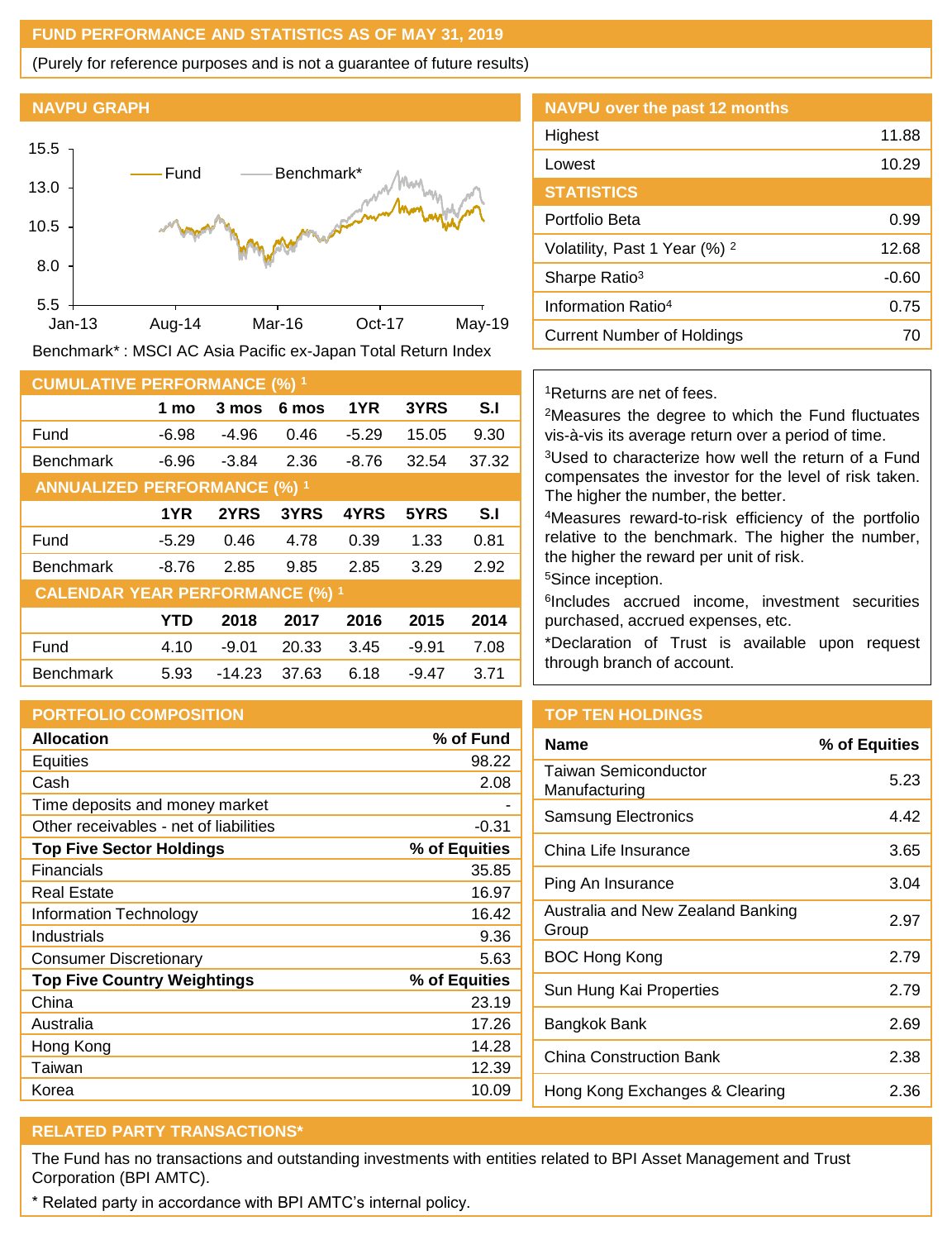## **FUND PERFORMANCE AND STATISTICS AS OF MAY 31, 2019**

(Purely for reference purposes and is not a guarantee of future results)

#### **NAVPU GRAPH**



Benchmark\* : MSCI AC Asia Pacific ex-Japan Total Return Index

| <b>CUMULATIVE PERFORMANCE (%) 1</b>    |            |          |       |         |         |       |
|----------------------------------------|------------|----------|-------|---------|---------|-------|
|                                        | 1 mo       | 3 mos    | 6 mos | 1YR     | 3YRS    | S.I   |
| Fund                                   | $-6.98$    | $-4.96$  | 0.46  | $-5.29$ | 15.05   | 9.30  |
| <b>Benchmark</b>                       | $-6.96$    | $-3.84$  | 2.36  | $-8.76$ | 32.54   | 37.32 |
| <b>ANNUALIZED PERFORMANCE (%) 1</b>    |            |          |       |         |         |       |
|                                        | 1YR        | 2YRS     | 3YRS  | 4YRS    | 5YRS    | S.I   |
| Fund                                   | $-5.29$    | 0.46     | 4.78  | 0.39    | 1.33    | 0.81  |
| <b>Benchmark</b>                       | $-8.76$    | 2.85     | 9.85  | 2.85    | 3.29    | 2.92  |
| <b>CALENDAR YEAR PERFORMANCE (%) 1</b> |            |          |       |         |         |       |
|                                        | <b>YTD</b> | 2018     | 2017  | 2016    | 2015    | 2014  |
| Fund                                   | 4.10       | $-9.01$  | 20.33 | 3.45    | $-9.91$ | 7.08  |
| <b>Benchmark</b>                       | 5.93       | $-14.23$ | 37.63 | 6.18    | $-9.47$ | 3.71  |

## **PORTFOLIO COMPOSITION**

| <b>Allocation</b>                      | % of Fund     |
|----------------------------------------|---------------|
| <b>Equities</b>                        | 98.22         |
| Cash                                   | 2.08          |
| Time deposits and money market         |               |
| Other receivables - net of liabilities | $-0.31$       |
| <b>Top Five Sector Holdings</b>        | % of Equities |
| Financials                             | 35.85         |
| Real Estate                            | 16.97         |
| Information Technology                 | 16.42         |
| Industrials                            | 9.36          |
| <b>Consumer Discretionary</b>          | 5.63          |
| <b>Top Five Country Weightings</b>     | % of Equities |
| China                                  | 23.19         |
| Australia                              | 17.26         |
| Hong Kong                              | 14.28         |
| Taiwan                                 | 12.39         |
| Korea                                  | 10.09         |

| <b>NAVPU over the past 12 months</b>     |       |
|------------------------------------------|-------|
| Highest                                  | 11.88 |
| Lowest                                   | 10.29 |
| <b>STATISTICS</b>                        |       |
| Portfolio Beta                           | 0.99  |
| Volatility, Past 1 Year (%) <sup>2</sup> | 12.68 |
| Sharpe Ratio <sup>3</sup>                | -0.60 |
| Information Ratio <sup>4</sup>           | 0.75  |
| Current Number of Holdings               | 70    |

### <sup>1</sup>Returns are net of fees.

<sup>2</sup>Measures the degree to which the Fund fluctuates vis-à-vis its average return over a period of time.

<sup>3</sup>Used to characterize how well the return of a Fund compensates the investor for the level of risk taken. The higher the number, the better.

<sup>4</sup>Measures reward-to-risk efficiency of the portfolio relative to the benchmark. The higher the number, the higher the reward per unit of risk.

<sup>5</sup>Since inception.

6 Includes accrued income, investment securities purchased, accrued expenses, etc.

\*Declaration of Trust is available upon request through branch of account.

## **TOP TEN HOLDINGS**

| <b>Name</b>                                | % of Equities |
|--------------------------------------------|---------------|
| Taiwan Semiconductor<br>Manufacturing      | 5.23          |
| Samsung Electronics                        | 4.42          |
| China Life Insurance                       | 3.65          |
| Ping An Insurance                          | 3.04          |
| Australia and New Zealand Banking<br>Group | 2.97          |
| BOC Hong Kong                              | 2.79          |
| Sun Hung Kai Properties                    | 2.79          |
| Bangkok Bank                               | 2.69          |
| China Construction Bank                    | 2.38          |
| Hong Kong Exchanges & Clearing             | 2.36          |

# **RELATED PARTY TRANSACTIONS\***

The Fund has no transactions and outstanding investments with entities related to BPI Asset Management and Trust Corporation (BPI AMTC).

\* Related party in accordance with BPI AMTC's internal policy.